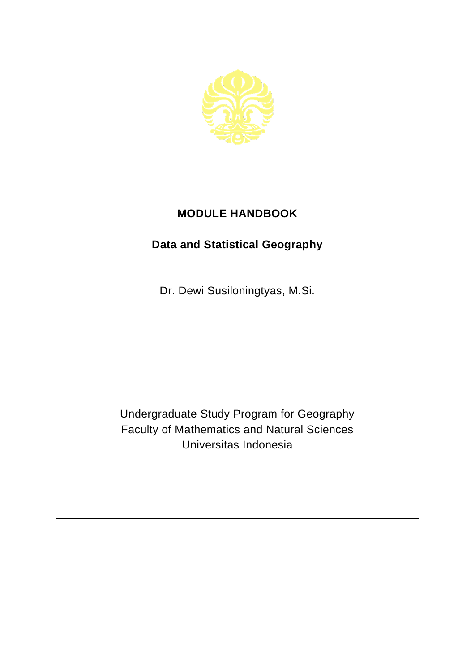

## **MODULE HANDBOOK**

## **Data and Statistical Geography**

Dr. Dewi Susiloningtyas, M.Si.

Undergraduate Study Program for Geography Faculty of Mathematics and Natural Sciences Universitas Indonesia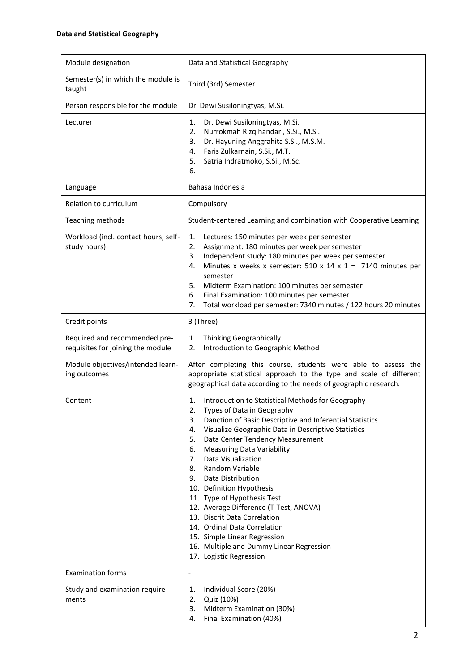| Module designation                                                 | Data and Statistical Geography                                                                                                                                                                                                                                                                                                                                                                                                                                                                                                                                                                                                                                               |
|--------------------------------------------------------------------|------------------------------------------------------------------------------------------------------------------------------------------------------------------------------------------------------------------------------------------------------------------------------------------------------------------------------------------------------------------------------------------------------------------------------------------------------------------------------------------------------------------------------------------------------------------------------------------------------------------------------------------------------------------------------|
| Semester(s) in which the module is<br>taught                       | Third (3rd) Semester                                                                                                                                                                                                                                                                                                                                                                                                                                                                                                                                                                                                                                                         |
| Person responsible for the module                                  | Dr. Dewi Susiloningtyas, M.Si.                                                                                                                                                                                                                                                                                                                                                                                                                                                                                                                                                                                                                                               |
| Lecturer                                                           | Dr. Dewi Susiloningtyas, M.Si.<br>1.<br>Nurrokmah Rizqihandari, S.Si., M.Si.<br>2.<br>Dr. Hayuning Anggrahita S.Si., M.S.M.<br>3.<br>Faris Zulkarnain, S.Si., M.T.<br>4.<br>5.<br>Satria Indratmoko, S.Si., M.Sc.<br>6.                                                                                                                                                                                                                                                                                                                                                                                                                                                      |
| Language                                                           | Bahasa Indonesia                                                                                                                                                                                                                                                                                                                                                                                                                                                                                                                                                                                                                                                             |
| Relation to curriculum                                             | Compulsory                                                                                                                                                                                                                                                                                                                                                                                                                                                                                                                                                                                                                                                                   |
| Teaching methods                                                   | Student-centered Learning and combination with Cooperative Learning                                                                                                                                                                                                                                                                                                                                                                                                                                                                                                                                                                                                          |
| Workload (incl. contact hours, self-<br>study hours)               | 1.<br>Lectures: 150 minutes per week per semester<br>Assignment: 180 minutes per week per semester<br>2.<br>Independent study: 180 minutes per week per semester<br>3.<br>Minutes x weeks x semester: 510 x 14 x 1 = 7140 minutes per<br>4.<br>semester<br>5.<br>Midterm Examination: 100 minutes per semester<br>6.<br>Final Examination: 100 minutes per semester<br>7.<br>Total workload per semester: 7340 minutes / 122 hours 20 minutes                                                                                                                                                                                                                                |
| Credit points                                                      | 3 (Three)                                                                                                                                                                                                                                                                                                                                                                                                                                                                                                                                                                                                                                                                    |
| Required and recommended pre-<br>requisites for joining the module | Thinking Geographically<br>1.<br>2.<br>Introduction to Geographic Method                                                                                                                                                                                                                                                                                                                                                                                                                                                                                                                                                                                                     |
| Module objectives/intended learn-<br>ing outcomes                  | After completing this course, students were able to assess the<br>appropriate statistical approach to the type and scale of different<br>geographical data according to the needs of geographic research.                                                                                                                                                                                                                                                                                                                                                                                                                                                                    |
| Content                                                            | Introduction to Statistical Methods for Geography<br>1.<br>2.<br>Types of Data in Geography<br>Danction of Basic Descriptive and Inferential Statistics<br>3.<br>Visualize Geographic Data in Descriptive Statistics<br>4.<br>Data Center Tendency Measurement<br>5.<br>6.<br><b>Measuring Data Variability</b><br>Data Visualization<br>7.<br>Random Variable<br>8.<br>Data Distribution<br>9.<br>10. Definition Hypothesis<br>11. Type of Hypothesis Test<br>12. Average Difference (T-Test, ANOVA)<br>13. Discrit Data Correlation<br>14. Ordinal Data Correlation<br>15. Simple Linear Regression<br>16. Multiple and Dummy Linear Regression<br>17. Logistic Regression |
| <b>Examination forms</b>                                           | $\overline{a}$                                                                                                                                                                                                                                                                                                                                                                                                                                                                                                                                                                                                                                                               |
| Study and examination require-<br>ments                            | Individual Score (20%)<br>1.<br>2.<br>Quiz (10%)<br>3.<br>Midterm Examination (30%)<br>Final Examination (40%)<br>4.                                                                                                                                                                                                                                                                                                                                                                                                                                                                                                                                                         |